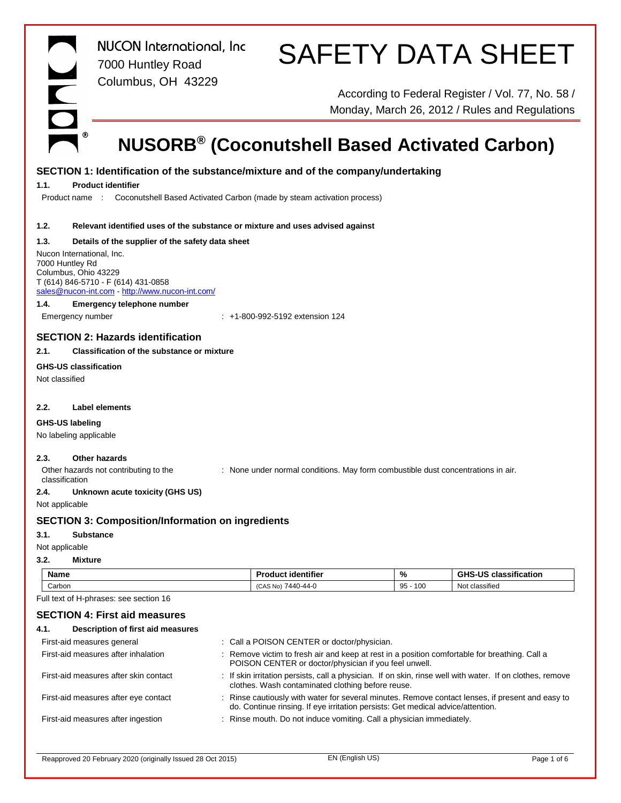

*NUCON International, Inc* 7000 Huntley Road Columbus, OH 43229

# SAFETY DATA SHEET

According to Federal Register / Vol. 77, No. 58 / Monday, March 26, 2012 / Rules and Regulations

# **NUSORB® (Coconutshell Based Activated Carbon)**

# **SECTION 1: Identification of the substance/mixture and of the company/undertaking**

## **1.1. Product identifier**

Product name : Coconutshell Based Activated Carbon (made by steam activation process)

### **1.2. Relevant identified uses of the substance or mixture and uses advised against**

### **1.3. Details of the supplier of the safety data sheet**

Nucon International, Inc. 7000 Huntley Rd Columbus, Ohio 43229 T (614) 846-5710 - F (614) 431-0858 [sales@nucon-int.com](mailto:sales@nucon-int.com) - <http://www.nucon-int.com/>

### **1.4. Emergency telephone number**

Emergency number : +1-800-992-5192 extension 124

# **SECTION 2: Hazards identification**

# **2.1. Classification of the substance or mixture**

# **GHS-US classification**

Not classified

# **2.2. Label elements**

### **GHS-US labeling**

No labeling applicable

# **2.3. Other hazards**

Other hazards not contributing to the classification

: None under normal conditions. May form combustible dust concentrations in air.

# **2.4. Unknown acute toxicity (GHS US)**

Not applicable

# **SECTION 3: Composition/Information on ingredients**

# **3.1. Substance**

Not applicable

#### **3.2. Mixture**

| - -<br>Name      | $-0.01$<br>Juct identifier                                  | $\mathbf{0}_{L}$<br>70 | <br>.<br>.<br>classification    |
|------------------|-------------------------------------------------------------|------------------------|---------------------------------|
| $\sim$<br>Carbon | 7440<br>$\sqrt{2}$<br>N <sub>o</sub><br>$-44-$<br>טרשו<br>. | 100<br>$\sim$<br>ყე    | $\cdots$<br>Not<br>: classified |

Full text of H-phrases: see section 16

# **SECTION 4: First aid measures**

| Description of first aid measures<br>4.1. |                                                                                                                                                                                     |
|-------------------------------------------|-------------------------------------------------------------------------------------------------------------------------------------------------------------------------------------|
| First-aid measures general                | : Call a POISON CENTER or doctor/physician.                                                                                                                                         |
| First-aid measures after inhalation       | : Remove victim to fresh air and keep at rest in a position comfortable for breathing. Call a<br>POISON CENTER or doctor/physician if you feel unwell.                              |
| First-aid measures after skin contact     | : If skin irritation persists, call a physician. If on skin, rinse well with water. If on clothes, remove<br>clothes. Wash contaminated clothing before reuse.                      |
| First-aid measures after eye contact      | : Rinse cautiously with water for several minutes. Remove contact lenses, if present and easy to<br>do. Continue rinsing. If eye irritation persists: Get medical advice/attention. |
| First-aid measures after ingestion        | : Rinse mouth. Do not induce vomiting. Call a physician immediately.                                                                                                                |
|                                           |                                                                                                                                                                                     |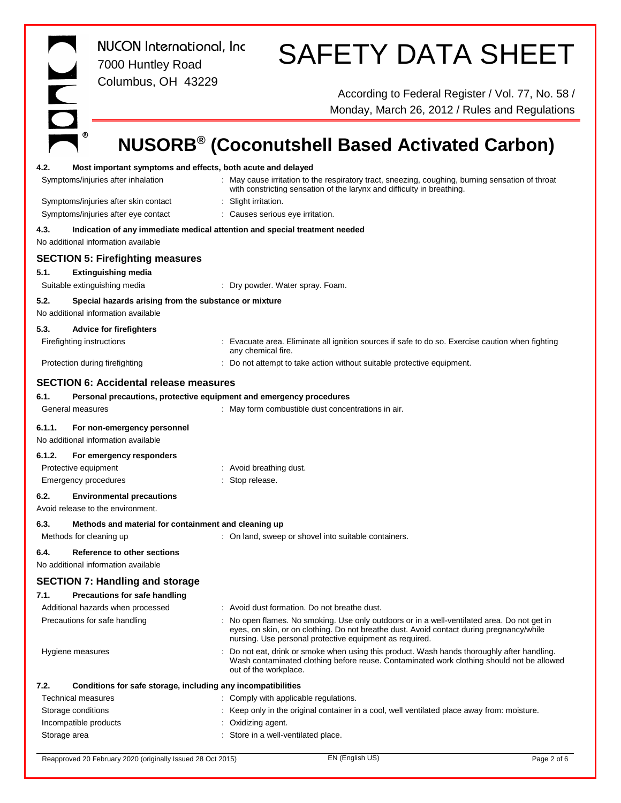IOND *NUCON International, Inc* 7000 Huntley Road Columbus, OH 43229

# SAFETY DATA SHEET

According to Federal Register / Vol. 77, No. 58 / Monday, March 26, 2012 / Rules and Regulations

# **NUSORB® (Coconutshell Based Activated Carbon)**

| 4.2.   | Most important symptoms and effects, both acute and delayed                                  |                                                                                                                                                                                                                                                    |
|--------|----------------------------------------------------------------------------------------------|----------------------------------------------------------------------------------------------------------------------------------------------------------------------------------------------------------------------------------------------------|
|        | Symptoms/injuries after inhalation                                                           | : May cause irritation to the respiratory tract, sneezing, coughing, burning sensation of throat<br>with constricting sensation of the larynx and difficulty in breathing.                                                                         |
|        | Symptoms/injuries after skin contact                                                         | : Slight irritation.                                                                                                                                                                                                                               |
|        | Symptoms/injuries after eye contact                                                          | : Causes serious eye irritation.                                                                                                                                                                                                                   |
| 4.3.   |                                                                                              | Indication of any immediate medical attention and special treatment needed                                                                                                                                                                         |
|        | No additional information available                                                          |                                                                                                                                                                                                                                                    |
|        | <b>SECTION 5: Firefighting measures</b>                                                      |                                                                                                                                                                                                                                                    |
| 5.1.   |                                                                                              |                                                                                                                                                                                                                                                    |
|        | <b>Extinguishing media</b>                                                                   |                                                                                                                                                                                                                                                    |
|        | Suitable extinguishing media                                                                 | : Dry powder. Water spray. Foam.                                                                                                                                                                                                                   |
| 5.2.   | Special hazards arising from the substance or mixture<br>No additional information available |                                                                                                                                                                                                                                                    |
| 5.3.   | <b>Advice for firefighters</b>                                                               |                                                                                                                                                                                                                                                    |
|        | Firefighting instructions                                                                    | Evacuate area. Eliminate all ignition sources if safe to do so. Exercise caution when fighting<br>any chemical fire.                                                                                                                               |
|        | Protection during firefighting                                                               | : Do not attempt to take action without suitable protective equipment.                                                                                                                                                                             |
|        | <b>SECTION 6: Accidental release measures</b>                                                |                                                                                                                                                                                                                                                    |
| 6.1.   |                                                                                              | Personal precautions, protective equipment and emergency procedures                                                                                                                                                                                |
|        | General measures                                                                             | : May form combustible dust concentrations in air.                                                                                                                                                                                                 |
|        |                                                                                              |                                                                                                                                                                                                                                                    |
| 6.1.1. | For non-emergency personnel<br>No additional information available                           |                                                                                                                                                                                                                                                    |
| 6.1.2. | For emergency responders                                                                     |                                                                                                                                                                                                                                                    |
|        | Protective equipment                                                                         | : Avoid breathing dust.                                                                                                                                                                                                                            |
|        | <b>Emergency procedures</b>                                                                  | : Stop release.                                                                                                                                                                                                                                    |
| 6.2.   | <b>Environmental precautions</b>                                                             |                                                                                                                                                                                                                                                    |
|        | Avoid release to the environment.                                                            |                                                                                                                                                                                                                                                    |
| 6.3.   | Methods and material for containment and cleaning up                                         |                                                                                                                                                                                                                                                    |
|        | Methods for cleaning up                                                                      | : On land, sweep or shovel into suitable containers.                                                                                                                                                                                               |
|        |                                                                                              |                                                                                                                                                                                                                                                    |
| 6.4.   | Reference to other sections<br>No additional information available                           |                                                                                                                                                                                                                                                    |
|        | <b>SECTION 7: Handling and storage</b>                                                       |                                                                                                                                                                                                                                                    |
| 7.1.   | <b>Precautions for safe handling</b>                                                         |                                                                                                                                                                                                                                                    |
|        | Additional hazards when processed                                                            | : Avoid dust formation. Do not breathe dust.                                                                                                                                                                                                       |
|        | Precautions for safe handling                                                                | : No open flames. No smoking. Use only outdoors or in a well-ventilated area. Do not get in<br>eyes, on skin, or on clothing. Do not breathe dust. Avoid contact during pregnancy/while<br>nursing. Use personal protective equipment as required. |
|        | Hygiene measures                                                                             | Do not eat, drink or smoke when using this product. Wash hands thoroughly after handling.<br>Wash contaminated clothing before reuse. Contaminated work clothing should not be allowed<br>out of the workplace.                                    |
| 7.2.   | Conditions for safe storage, including any incompatibilities                                 |                                                                                                                                                                                                                                                    |
|        | <b>Technical measures</b>                                                                    | : Comply with applicable regulations.                                                                                                                                                                                                              |
|        | Storage conditions                                                                           | : Keep only in the original container in a cool, well ventilated place away from: moisture.                                                                                                                                                        |
|        | Incompatible products                                                                        | Oxidizing agent.                                                                                                                                                                                                                                   |
|        | Storage area                                                                                 | : Store in a well-ventilated place.                                                                                                                                                                                                                |

Reapproved 20 February 2020 (originally Issued 28 Oct 2015) EN (English US) EN (English US) Page 2 of 6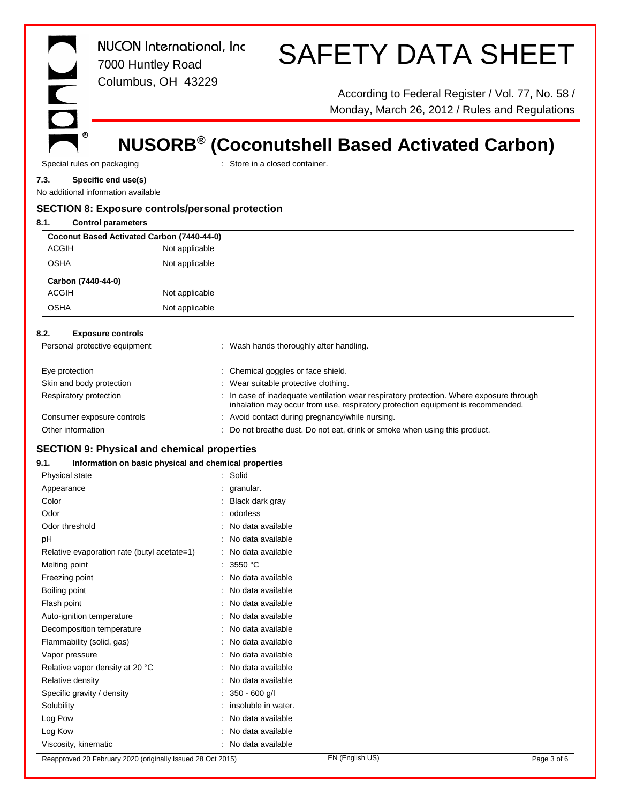$^\circledR$ 

*NUCON International, Inc* 7000 Huntley Road Columbus, OH 43229

# SAFETY DATA SHEET

According to Federal Register / Vol. 77, No. 58 / Monday, March 26, 2012 / Rules and Regulations

# **NUSORB® (Coconutshell Based Activated Carbon)**

Special rules on packaging **in the container** : Store in a closed container.

### **7.3. Specific end use(s)**

No additional information available

# **SECTION 8: Exposure controls/personal protection**

# **8.1. Control parameters**

| Coconut Based Activated Carbon (7440-44-0) |                |  |
|--------------------------------------------|----------------|--|
| <b>ACGIH</b>                               | Not applicable |  |
| <b>OSHA</b>                                | Not applicable |  |
| Carbon (7440-44-0)                         |                |  |
| <b>ACGIH</b>                               | Not applicable |  |
| <b>OSHA</b>                                | Not applicable |  |

# **8.2. Exposure controls**

| Personal protective equipment | : Wash hands thoroughly after handling.                                                                                                                                    |
|-------------------------------|----------------------------------------------------------------------------------------------------------------------------------------------------------------------------|
| Eye protection                | : Chemical goggles or face shield.                                                                                                                                         |
| Skin and body protection      | : Wear suitable protective clothing.                                                                                                                                       |
| Respiratory protection        | : In case of inadequate ventilation wear respiratory protection. Where exposure through<br>inhalation may occur from use, respiratory protection equipment is recommended. |
| Consumer exposure controls    | : Avoid contact during pregnancy/while nursing.                                                                                                                            |
| Other information             | : Do not breathe dust. Do not eat, drink or smoke when using this product.                                                                                                 |

# **SECTION 9: Physical and chemical properties**

# **9.1. Information on basic physical and chemical properties**

| Physical state                              | Solid               |
|---------------------------------------------|---------------------|
| Appearance                                  | granular.           |
| Color                                       | Black dark gray     |
| Odor                                        | odorless            |
| Odor threshold                              | No data available   |
| рH                                          | No data available   |
| Relative evaporation rate (butyl acetate=1) | No data available   |
| Melting point                               | 3550 $^{\circ}$ C   |
| Freezing point                              | No data available   |
| Boiling point                               | No data available   |
| Flash point                                 | : No data available |
| Auto-ignition temperature                   | No data available   |
| Decomposition temperature                   | No data available   |
| Flammability (solid, gas)                   | No data available   |
| Vapor pressure                              | No data available   |
| Relative vapor density at 20 °C             | No data available   |
| Relative density                            | No data available   |
| Specific gravity / density                  | $350 - 600$ g/l     |
| Solubility                                  | insoluble in water. |
| Log Pow                                     | No data available   |
| Log Kow                                     | No data available   |
| Viscosity, kinematic                        | No data available   |

Reapproved 20 February 2020 (originally Issued 28 Oct 2015) EN (English US) EN (English US) Page 3 of 6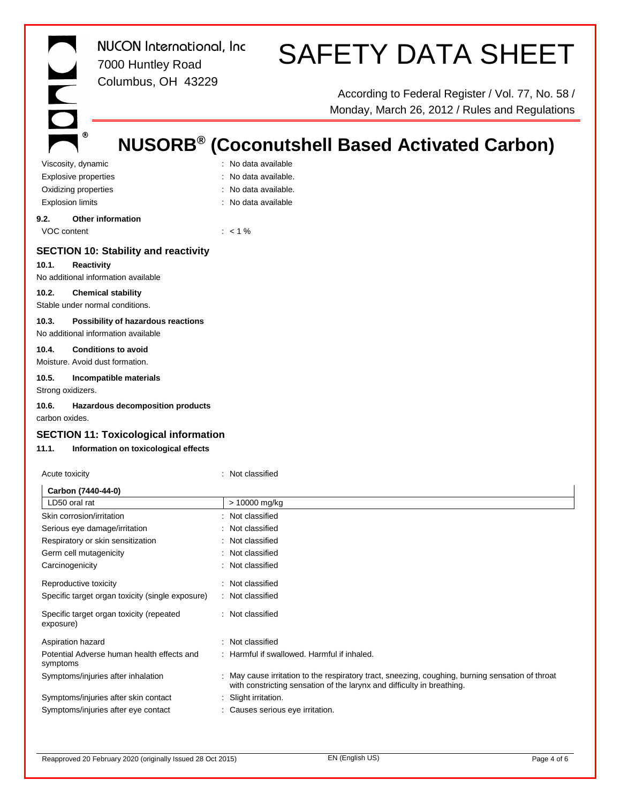$^\circledR$ 

*NUCON International, Inc* 7000 Huntley Road Columbus, OH 43229

# SAFETY DATA SHEET

According to Federal Register / Vol. 77, No. 58 / Monday, March 26, 2012 / Rules and Regulations

# **NUSORB® (Coconutshell Based Activated Carbon)**

Viscosity, dynamic **intervalse in the Contract of Contract Contract Contract Contract Contract Contract Contract Contract Contract Contract Contract Contract Contract Contract Contract Contract Contract Contract Contract C** Explosive properties in the set of the set of the September 2011. No data available. Oxidizing properties **in the contract of the Contract Contract Contract Contract Contract Contract Contract Contract Contract Contract Contract Contract Contract Contract Contract Contract Contract Contract Contract Contra** Explosion limits **Explosion** limits **Explosion** limits

- 
- 
- 

**9.2. Other information** VOC content : < 1 %

# **SECTION 10: Stability and reactivity**

**10.1. Reactivity** No additional information available

### **10.2. Chemical stability**

Stable under normal conditions.

# **10.3. Possibility of hazardous reactions**

No additional information available **10.4. Conditions to avoid**

# Moisture. Avoid dust formation.

# **10.5. Incompatible materials**

Strong oxidizers.

# **10.6. Hazardous decomposition products**

carbon oxides.

# **SECTION 11: Toxicological information**

# **11.1. Information on toxicological effects**

| Acute toxicity                                         | : Not classified                                                                                                                                                           |
|--------------------------------------------------------|----------------------------------------------------------------------------------------------------------------------------------------------------------------------------|
| Carbon (7440-44-0)                                     |                                                                                                                                                                            |
| LD50 oral rat                                          | > 10000 mg/kg                                                                                                                                                              |
| Skin corrosion/irritation                              | : Not classified                                                                                                                                                           |
| Serious eye damage/irritation                          | : Not classified                                                                                                                                                           |
| Respiratory or skin sensitization                      | : Not classified                                                                                                                                                           |
| Germ cell mutagenicity                                 | : Not classified                                                                                                                                                           |
| Carcinogenicity                                        | : Not classified                                                                                                                                                           |
| Reproductive toxicity                                  | : Not classified                                                                                                                                                           |
| Specific target organ toxicity (single exposure)       | : Not classified                                                                                                                                                           |
| Specific target organ toxicity (repeated<br>exposure)  | : Not classified                                                                                                                                                           |
| Aspiration hazard                                      | : Not classified                                                                                                                                                           |
| Potential Adverse human health effects and<br>symptoms | : Harmful if swallowed. Harmful if inhaled.                                                                                                                                |
| Symptoms/injuries after inhalation                     | : May cause irritation to the respiratory tract, sneezing, coughing, burning sensation of throat<br>with constricting sensation of the larynx and difficulty in breathing. |
| Symptoms/injuries after skin contact                   | : Slight irritation.                                                                                                                                                       |
| Symptoms/injuries after eye contact                    | : Causes serious eye irritation.                                                                                                                                           |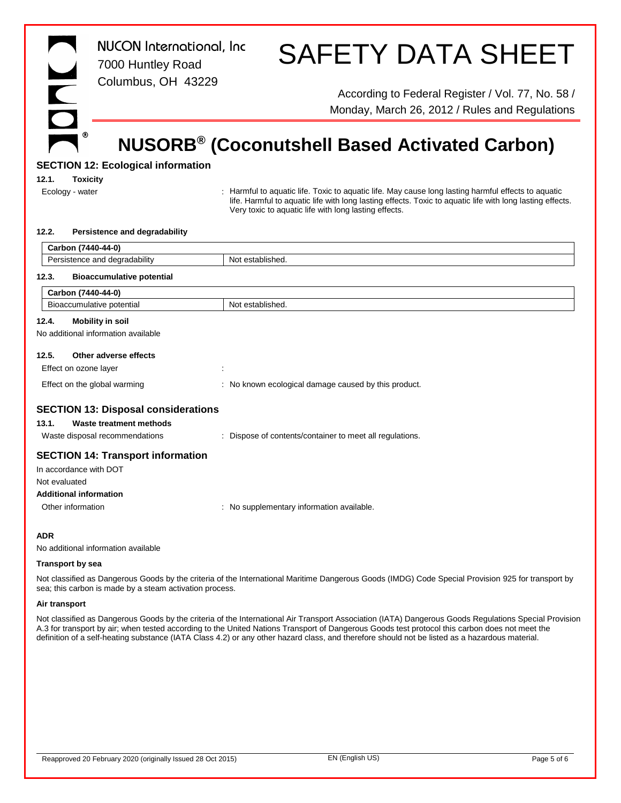|  | ◉ |
|--|---|

*NUCON International, Inc* 7000 Huntley Road Columbus, OH 43229

# SAFETY DATA SHEET

According to Federal Register / Vol. 77, No. 58 / Monday, March 26, 2012 / Rules and Regulations

# **NUSORB® (Coconutshell Based Activated Carbon)**

# **SECTION 12: Ecological information**

**12.1. Toxicity**

Ecology - water state of the state of the Harmful to aquatic life. Toxic to aquatic life. May cause long lasting harmful effects to aquatic life. Harmful to aquatic life with long lasting effects. Toxic to aquatic life with long lasting effects. Very toxic to aquatic life with long lasting effects.

#### **12.2. Persistence and degradability**

|                                            | Carbon (7440-44-0)                       |                                                          |
|--------------------------------------------|------------------------------------------|----------------------------------------------------------|
|                                            | Persistence and degradability            | Not established.                                         |
| 12.3.                                      | <b>Bioaccumulative potential</b>         |                                                          |
|                                            | Carbon (7440-44-0)                       |                                                          |
|                                            | Bioaccumulative potential                | Not established.                                         |
| 12.4.                                      | <b>Mobility in soil</b>                  |                                                          |
|                                            | No additional information available      |                                                          |
| 12.5.                                      | Other adverse effects                    |                                                          |
|                                            | Effect on ozone layer                    |                                                          |
|                                            | Effect on the global warming             | : No known ecological damage caused by this product.     |
| <b>SECTION 13: Disposal considerations</b> |                                          |                                                          |
| 13.1.                                      | Waste treatment methods                  |                                                          |
|                                            | Waste disposal recommendations           | : Dispose of contents/container to meet all regulations. |
|                                            | <b>SECTION 14: Transport information</b> |                                                          |
|                                            | In accordance with DOT                   |                                                          |
| Not evaluated                              |                                          |                                                          |
|                                            | <b>Additional information</b>            |                                                          |
|                                            | Other information                        | : No supplementary information available.                |
| <b>ADR</b>                                 |                                          |                                                          |
|                                            |                                          |                                                          |

No additional information available

#### **Transport by sea**

Not classified as Dangerous Goods by the criteria of the International Maritime Dangerous Goods (IMDG) Code Special Provision 925 for transport by sea; this carbon is made by a steam activation process.

#### **Air transport**

Not classified as Dangerous Goods by the criteria of the International Air Transport Association (IATA) Dangerous Goods Regulations Special Provision A.3 for transport by air; when tested according to the United Nations Transport of Dangerous Goods test protocol this carbon does not meet the definition of a self-heating substance (IATA Class 4.2) or any other hazard class, and therefore should not be listed as a hazardous material.